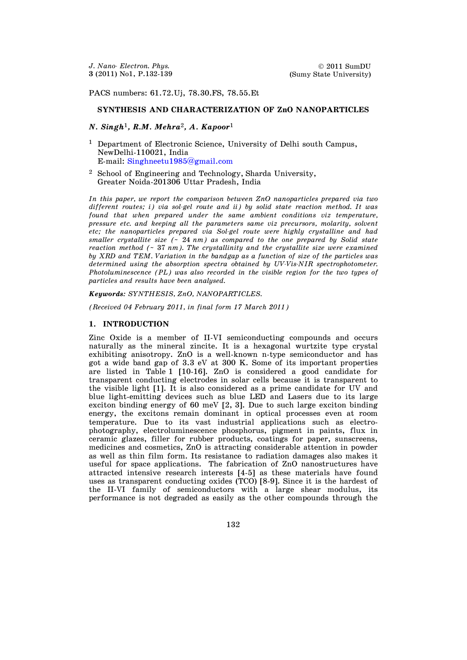PACS numbers: 61.72.Uj, 78.30.FS, 78.55.Et

## **SYNTHESIS AND CHARACTERIZATION OF ZnO NANOPARTICLES**

# *N. Singh*1*, R.M. Mehra*2*, A. Kapoor*<sup>1</sup>

- <sup>1</sup> Department of Electronic Science, University of Delhi south Campus, NewDelhi-110021, India E-mail: [Singhneetu1985@gmail.com](mailto:Singhneetu1985@gmail.com)
- <sup>2</sup> School of Engineering and Technology, Sharda University, Greater Noida-201306 Uttar Pradesh, India

*In this paper, we report the comparison between ZnO nanoparticles prepared via two different routes; i) via sol-gel route and ii) by solid state reaction method. It was found that when prepared under the same ambient conditions viz temperature, pressure etc. and keeping all the parameters same viz precursors, molarity, solvent etc; the nanoparticles prepared via Sol-gel route were highly crystalline and had smaller crystallite size (~* 24 *nm) as compared to the one prepared by Solid state reaction method (~* 37 *nm). The crystallinity and the crystallite size were examined by XRD and TEM. Variation in the bandgap as a function of size of the particles was determined using the absorption spectra obtained by UV-Vis-NIR spectrophotometer. Photoluminescence (PL) was also recorded in the visible region for the two types of particles and results have been analysed.* 

*Keywords: SYNTHESIS, ZnO, NANOPARTICLES.* 

*(Received 04 February 2011, in final form 17 March 2011)* 

### **1. INTRODUCTION**

Zinc Oxide is a member of II-VI semiconducting compounds and occurs naturally as the mineral zincite. It is a hexagonal wurtzite type crystal exhibiting anisotropy. ZnO is a well-known n-type semiconductor and has got a wide band gap of 3.3 eV at 300 K. Some of its important properties are listed in Table 1 [10-16]. ZnO is considered a good candidate for transparent conducting electrodes in solar cells because it is transparent to the visible light [1]. It is also considered as a prime candidate for UV and blue light-emitting devices such as blue LED and Lasers due to its large exciton binding energy of 60 meV [2, 3]. Due to such large exciton binding energy, the excitons remain dominant in optical processes even at room temperature. Due to its vast industrial applications such as electrophotography, electroluminescence phosphorus, pigment in paints, flux in ceramic glazes, filler for rubber products, coatings for paper, sunscreens, medicines and cosmetics, ZnO is attracting considerable attention in powder as well as thin film form. Its resistance to radiation damages also makes it useful for space applications. The fabrication of ZnO nanostructures have attracted intensive research interests [4-5] as these materials have found uses as transparent conducting oxides (TCO) [8-9]. Since it is the hardest of the II-VI family of semiconductors with a large shear modulus, its performance is not degraded as easily as the other compounds through the

132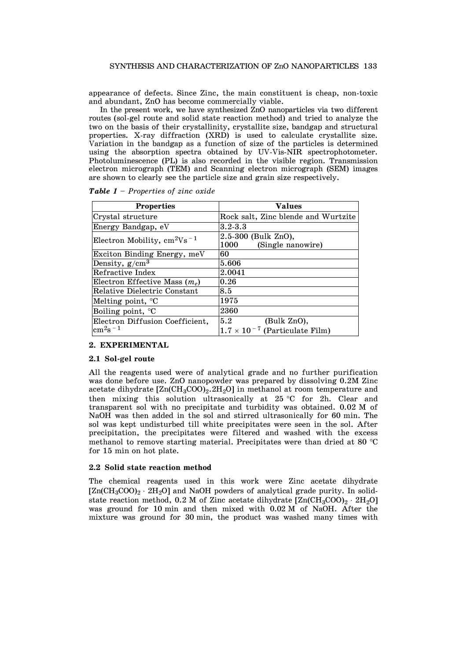appearance of defects. Since Zinc, the main constituent is cheap, non-toxic and abundant, ZnO has become commercially viable.

 In the present work, we have synthesized ZnO nanoparticles via two different routes (sol-gel route and solid state reaction method) and tried to analyze the two on the basis of their crystallinity, crystallite size, bandgap and structural properties. X-ray diffraction (XRD) is used to calculate crystallite size. Variation in the bandgap as a function of size of the particles is determined using the absorption spectra obtained by UV-Vis-NIR spectrophotometer. Photoluminescence (PL) is also recorded in the visible region. Transmission electron micrograph (TEM) and Scanning electron micrograph (SEM) images are shown to clearly see the particle size and grain size respectively.

| <b>Properties</b>                | <b>Values</b>                                    |
|----------------------------------|--------------------------------------------------|
| Crystal structure                | Rock salt, Zinc blende and Wurtzite              |
| Energy Bandgap, eV               | $3.2 - 3.3$                                      |
| Electron Mobility, $cm^2Vs^{-1}$ | 2.5-300 (Bulk ZnO),<br>1000<br>(Single nanowire) |
| Exciton Binding Energy, meV      | 60                                               |
| Density, $g/cm^3$                | 5.606                                            |
| Refractive Index                 | 2.0041                                           |
| Electron Effective Mass $(m_e)$  | 0.26                                             |
| Relative Dielectric Constant     | 8.5                                              |
| Melting point, $\mathrm{C}$      | 1975                                             |
| Boiling point, <sup>o</sup> C    | 2360                                             |
| Electron Diffusion Coefficient.  | 5.2<br>(Bulk ZnO),                               |
| $\rm cm^2 s^{-1}$                | $1.7 \times 10^{-7}$ (Particulate Film)          |

*Table 1* – *Properties of zinc oxide*

#### **2. EXPERIMENTAL**

## **2.1 Sol-gel route**

All the reagents used were of analytical grade and no further purification was done before use. ZnO nanopowder was prepared by dissolving 0.2M Zinc acetate dihydrate  $[Zn(CH_3COO)_2.2H_2O]$  in methanol at room temperature and then mixing this solution ultrasonically at  $25 °C$  for 2h. Clear and transparent sol with no precipitate and turbidity was obtained. 0.02 M of NaOH was then added in the sol and stirred ultrasonically for 60 min. The sol was kept undisturbed till white precipitates were seen in the sol. After precipitation, the precipitates were filtered and washed with the excess methanol to remove starting material. Precipitates were than dried at 80  $^{\circ}$ C for 15 min on hot plate.

#### **2.2 Solid state reaction method**

The chemical reagents used in this work were Zinc acetate dihydrate  $[Zn(CH_3COO)_2 \cdot 2H_2O]$  and NaOH powders of analytical grade purity. In solidstate reaction method, 0.2 M of Zinc acetate dihydrate  $[Zn(CH_3COO)_2 \cdot 2H_2O]$ was ground for 10 min and then mixed with 0.02 M of NaOH. After the mixture was ground for 30 min, the product was washed many times with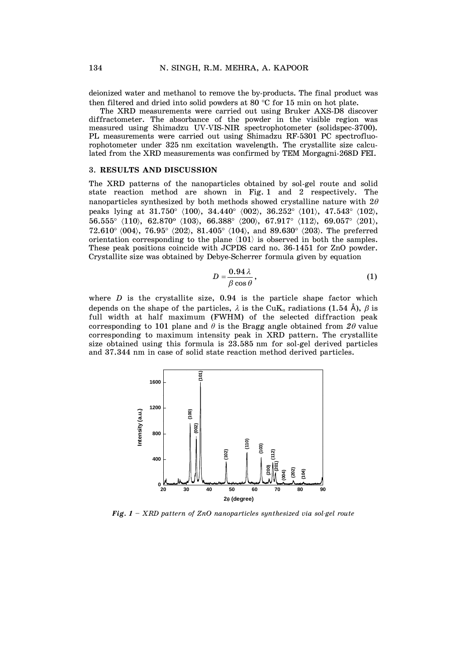deionized water and methanol to remove the by-products. The final product was then filtered and dried into solid powders at 80  $\degree$ C for 15 min on hot plate.

 The XRD measurements were carried out using Bruker AXS-D8 discover diffractometer. The absorbance of the powder in the visible region was measured using Shimadzu UV-VIS-NIR spectrophotometer (solidspec-3700). PL measurements were carried out using Shimadzu RF-5301 PC spectrofluorophotometer under 325 nm excitation wavelength. The crystallite size calculated from the XRD measurements was confirmed by TEM Morgagni-268D FEI.

### 3. **RESULTS AND DISCUSSION**

The XRD patterns of the nanoparticles obtained by sol-gel route and solid state reaction method are shown in Fig. 1 and 2 respectively. The nanoparticles synthesized by both methods showed crystalline nature with  $2\theta$ peaks lying at 31.750 $^{\circ}$  (100), 34.440 $^{\circ}$  (002), 36.252 $^{\circ}$  (101), 47.543 $^{\circ}$  (102),  $56.555^{\circ}$   $\langle 110 \rangle$ ,  $62.870^{\circ}$   $\langle 103 \rangle$ ,  $66.388^{\circ}$   $\langle 200 \rangle$ ,  $67.917^{\circ}$   $\langle 112 \rangle$ ,  $69.057^{\circ}$   $\langle 201 \rangle$ ,  $72.610^{\circ}$  (004),  $76.95^{\circ}$  (202), 81.405<sup>o</sup> (104), and 89.630<sup>o</sup> (203). The preferred orientation corresponding to the plane  $\langle 101 \rangle$  is observed in both the samples. These peak positions coincide with JCPDS card no. 36-1451 for ZnO powder. Crystallite size was obtained by Debye-Scherrer formula given by equation

$$
D = \frac{0.94 \lambda}{\beta \cos \theta},\tag{1}
$$

where  $D$  is the crystallite size,  $0.94$  is the particle shape factor which depends on the shape of the particles,  $\lambda$  is the CuK<sub>*u*</sub> radiations (1.54  $\hat{A}$ ),  $\beta$  is full width at half maximum (FWHM) of the selected diffraction peak corresponding to 101 plane and  $\theta$  is the Bragg angle obtained from  $2\theta$  value corresponding to maximum intensity peak in XRD pattern. The crystallite size obtained using this formula is 23.585 nm for sol-gel derived particles and 37.344 nm in case of solid state reaction method derived particles.



*Fig. 1 – XRD pattern of ZnO nanoparticles synthesized via sol-gel route*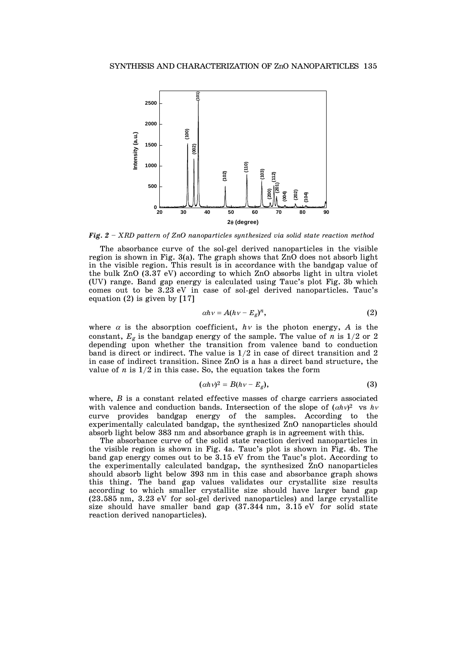

*Fig. 2 – XRD pattern of ZnO nanoparticles synthesized via solid state reaction method* 

 The absorbance curve of the sol-gel derived nanoparticles in the visible region is shown in Fig. 3(a). The graph shows that ZnO does not absorb light in the visible region. This result is in accordance with the bandgap value of the bulk ZnO (3.37 eV) according to which ZnO absorbs light in ultra violet (UV) range. Band gap energy is calculated using Tauc's plot Fig. 3b which comes out to be 3.23 eV in case of sol-gel derived nanoparticles. Tauc's equation (2) is given by [17]

$$
\alpha h v = A (h v - E_g)^n, \tag{2}
$$

where  $\alpha$  is the absorption coefficient,  $h\nu$  is the photon energy, A is the constant,  $E_g$  is the bandgap energy of the sample. The value of *n* is  $1/2$  or 2 depending upon whether the transition from valence band to conduction band is direct or indirect. The value is 1/2 in case of direct transition and 2 in case of indirect transition. Since ZnO is a has a direct band structure, the value of  $n$  is  $1/2$  in this case. So, the equation takes the form

$$
(\alpha h v)^2 = B(hv - E_g), \qquad (3)
$$

where, *B* is a constant related effective masses of charge carriers associated with valence and conduction bands. Intersection of the slope of  $(ahv)^2$  vs  $hv$ curve provides bandgap energy of the samples. According to the experimentally calculated bandgap, the synthesized ZnO nanoparticles should absorb light below 383 nm and absorbance graph is in agreement with this.

 The absorbance curve of the solid state reaction derived nanoparticles in the visible region is shown in Fig. 4a. Tauc's plot is shown in Fig. 4b. The band gap energy comes out to be 3.15 eV from the Tauc's plot. According to the experimentally calculated bandgap, the synthesized ZnO nanoparticles should absorb light below 393 nm in this case and absorbance graph shows this thing. The band gap values validates our crystallite size results according to which smaller crystallite size should have larger band gap (23.585 nm, 3.23 eV for sol-gel derived nanoparticles) and large crystallite size should have smaller band gap (37.344 nm, 3.15 eV for solid state reaction derived nanoparticles).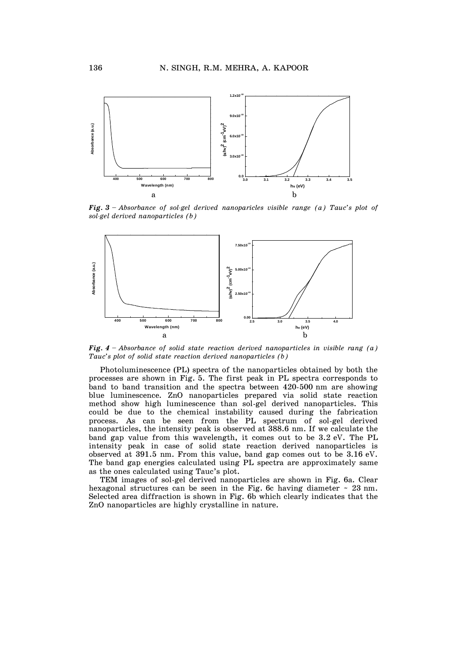

*Fig. 3 – Absorbance of sol-gel derived nanoparicles visible range (a) Tauc's plot of sol-gel derived nanoparticles (b)* 



*Fig. 4 – Absorbance of solid state reaction derived nanoparticles in visible rang (a) Tauc's plot of solid state reaction derived nanoparticles (b)* 

 Photoluminescence (PL) spectra of the nanoparticles obtained by both the processes are shown in Fig. 5. The first peak in PL spectra corresponds to band to band transition and the spectra between 420-500 nm are showing blue luminescence. ZnO nanoparticles prepared via solid state reaction method show high luminescence than sol-gel derived nanoparticles. This could be due to the chemical instability caused during the fabrication process. As can be seen from the PL spectrum of sol-gel derived nanoparticles, the intensity peak is observed at 388.6 nm. If we calculate the band gap value from this wavelength, it comes out to be 3.2 eV. The PL intensity peak in case of solid state reaction derived nanoparticles is observed at 391.5 nm. From this value, band gap comes out to be 3.16 eV. The band gap energies calculated using PL spectra are approximately same as the ones calculated using Tauc's plot.

 TEM images of sol-gel derived nanoparticles are shown in Fig. 6a. Clear hexagonal structures can be seen in the Fig. 6c having diameter  $\sim$  23 nm. Selected area diffraction is shown in Fig. 6b which clearly indicates that the ZnO nanoparticles are highly crystalline in nature.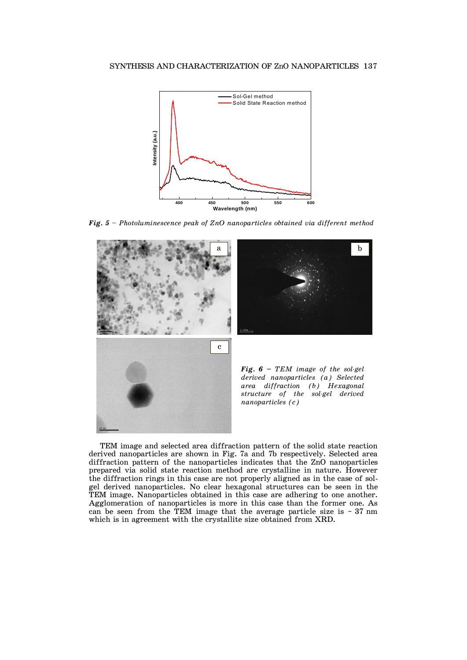

*Fig. 5 – Photoluminescence peak of ZnO nanoparticles obtained via different method* 



 TEM image and selected area diffraction pattern of the solid state reaction derived nanoparticles are shown in Fig. 7a and 7b respectively. Selected area diffraction pattern of the nanoparticles indicates that the ZnO nanoparticles prepared via solid state reaction method are crystalline in nature. However the diffraction rings in this case are not properly aligned as in the case of solgel derived nanoparticles. No clear hexagonal structures can be seen in the TEM image. Nanoparticles obtained in this case are adhering to one another. Agglomeration of nanoparticles is more in this case than the former one. As can be seen from the TEM image that the average particle size is  $\sim 37$  nm which is in agreement with the crystallite size obtained from XRD.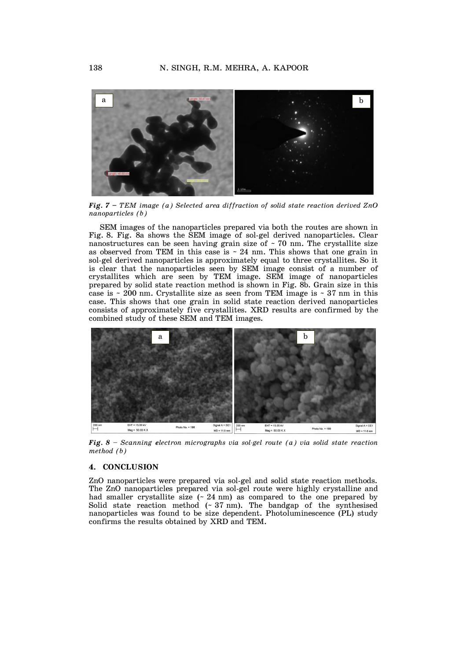

*Fig. 7 – TEM image (a) Selected area diffraction of solid state reaction derived ZnO nanoparticles (b)* 

 SEM images of the nanoparticles prepared via both the routes are shown in Fig. 8. Fig. 8a shows the SEM image of sol-gel derived nanoparticles. Clear nanostructures can be seen having grain size of  $\sim$  70 nm. The crystallite size as observed from TEM in this case is  $\sim 24$  nm. This shows that one grain in sol-gel derived nanoparticles is approximately equal to three crystallites. So it is clear that the nanoparticles seen by SEM image consist of a number of crystallites which are seen by TEM image. SEM image of nanoparticles prepared by solid state reaction method is shown in Fig. 8b. Grain size in this case is  $\sim$  200 nm. Crystallite size as seen from TEM image is  $\sim$  37 nm in this case. This shows that one grain in solid state reaction derived nanoparticles consists of approximately five crystallites. XRD results are confirmed by the combined study of these SEM and TEM images.



*Fig. 8 – Scanning electron micrographs via sol-gel route (a) via solid state reaction method (b)* 

### **4. CONCLUSION**

ZnO nanoparticles were prepared via sol-gel and solid state reaction methods. The ZnO nanoparticles prepared via sol-gel route were highly crystalline and had smaller crystallite size  $(24 \text{ nm})$  as compared to the one prepared by Solid state reaction method (~ 37 nm). The bandgap of the synthesised nanoparticles was found to be size dependent. Photoluminescence (PL) study confirms the results obtained by XRD and TEM.